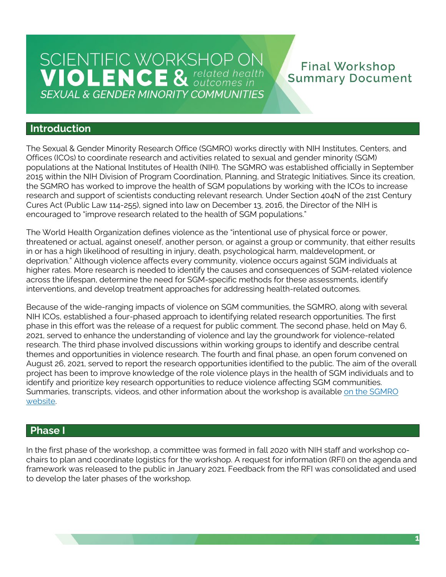## **Final Workshop Summary Document**

### **Introduction**

The Sexual & Gender Minority Research Office (SGMRO) works directly with NIH Institutes, Centers, and Offices (ICOs) to coordinate research and activities related to sexual and gender minority (SGM) populations at the National Institutes of Health (NIH). The SGMRO was established officially in September 2015 within the NIH Division of Program Coordination, Planning, and Strategic Initiatives. Since its creation, the SGMRO has worked to improve the health of SGM populations by working with the ICOs to increase research and support of scientists conducting relevant research. Under Section 404N of the 21st Century Cures Act (Public Law 114-255), signed into law on December 13, 2016, the Director of the NIH is encouraged to "improve research related to the health of SGM populations."

The World Health Organization defines violence as the "intentional use of physical force or power, threatened or actual, against oneself, another person, or against a group or community, that either results in or has a high likelihood of resulting in injury, death, psychological harm, maldevelopment, or deprivation." Although violence affects every community, violence occurs against SGM individuals at higher rates. More research is needed to identify the causes and consequences of SGM-related violence across the lifespan, determine the need for SGM-specific methods for these assessments, identify interventions, and develop treatment approaches for addressing health-related outcomes.

Because of the wide-ranging impacts of violence on SGM communities, the SGMRO, along with several NIH ICOs, established a four-phased approach to identifying related research opportunities. The first phase in this effort was the release of a request for public comment. The second phase, held on May 6, 2021, served to enhance the understanding of violence and lay the groundwork for violence-related research. The third phase involved discussions within working groups to identify and describe central themes and opportunities in violence research. The fourth and final phase, an open forum convened on August 26, 2021, served to report the research opportunities identified to the public. The aim of the overall project has been to improve knowledge of the role violence plays in the health of SGM individuals and to identify and prioritize key research opportunities to reduce violence affecting SGM communities. Summaries, transcripts, videos, and other information about the workshop is available on the SGMRO [website.](https://dpcpsi.nih.gov/sgmro/sgm-violence-workshop)

# **Phase I**  ebsite<br>P**hase**<br>the firs

 chairs to plan and coordinate logistics for the workshop. A request for information (RFI) on the agenda and framework was released to the public in January 2021. Feedback from the RFI was consolidated and used to develop the later phases of the workshop. In the first phase of the workshop, a committee was formed in fall 2020 with NIH staff and workshop co-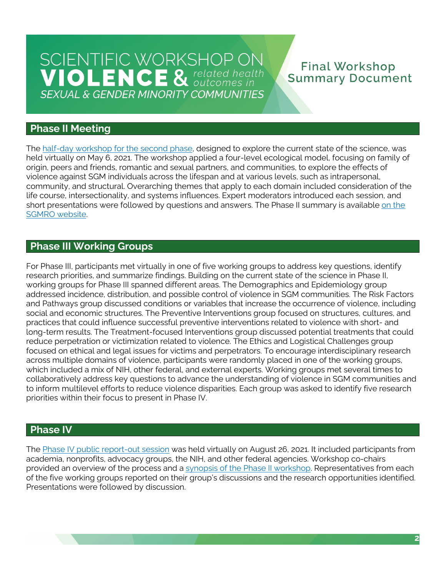# SCIENTIFIC WORKSHOP ON **VIOLENCE** & *CREA COMPONER (POLICE A cultomes in* **SEXUAL & GENDER MINORITY COMMUNITIES**

### **Final Workshop Summary Document**

### **Phase II Meeting**

The [half-day workshop for the second phase,](https://youtu.be/OJvEgAGvyx4) designed to explore the current state of the science, was held virtually on May 6, 2021. The workshop applied a four-level ecological model, focusing on family of origin, peers and friends, romantic and sexual partners, and communities, to explore the effects of violence against SGM individuals across the lifespan and at various levels, such as intrapersonal, community, and structural. Overarching themes that apply to each domain included consideration of the life course, intersectionality, and systems influences. Expert moderators introduced each session, and short presentations were followed by questions and answers. The Phase II summary is available <u>on the</u> [SGMRO website.](https://dpcpsi.nih.gov/sites/default/files/SGMRO-Violence-Workshop-Summary-FINAL-508.pdf) 

### **Phase III Working Groups**

For Phase III, participants met virtually in one of five working groups to address key questions, identify research priorities, and summarize findings. Building on the current state of the science in Phase II, working groups for Phase III spanned different areas. The Demographics and Epidemiology group addressed incidence, distribution, and possible control of violence in SGM communities. The Risk Factors and Pathways group discussed conditions or variables that increase the occurrence of violence, including social and economic structures. The Preventive Interventions group focused on structures, cultures, and practices that could influence successful preventive interventions related to violence with short- and long-term results. The Treatment-focused Interventions group discussed potential treatments that could reduce perpetration or victimization related to violence. The Ethics and Logistical Challenges group focused on ethical and legal issues for victims and perpetrators. To encourage interdisciplinary research across multiple domains of violence, participants were randomly placed in one of the working groups, which included a mix of NIH, other federal, and external experts. Working groups met several times to collaboratively address key questions to advance the understanding of violence in SGM communities and to inform multilevel efforts to reduce violence disparities. Each group was asked to identify five research priorities within their focus to present in Phase IV.

### **Phase IV**

The [Phase IV public report-out session](https://youtu.be/zG6zXBz7lZ4) was held virtually on August 26, 2021. It included participants from academia, nonprofits, advocacy groups, the NIH, and other federal agencies. Workshop co-chairs provided an overview of the process and a [synopsis of the Phase II workshop.](https://dpcpsi.nih.gov/sites/default/files/SGMRO-Violence-Workshop-Summary-FINAL-508.pdf) Representatives from each of the five working groups reported on their group's discussions and the research opportunities identified. Presentations were followed by discussion.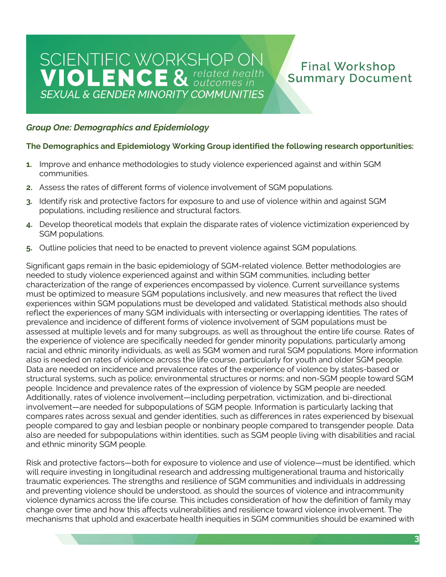### **Final Workshop Summary Document**

### *Group One: Demographics and Epidemiology*

#### **The Demographics and Epidemiology Working Group identified the following research opportunities:**

- **1.** Improve and enhance methodologies to study violence experienced against and within SGM communities.
- **2.** Assess the rates of different forms of violence involvement of SGM populations.
- **3.** Identify risk and protective factors for exposure to and use of violence within and against SGM populations, including resilience and structural factors.
- **4.** Develop theoretical models that explain the disparate rates of violence victimization experienced by SGM populations.
- **5.** Outline policies that need to be enacted to prevent violence against SGM populations.

 Significant gaps remain in the basic epidemiology of SGM-related violence. Better methodologies are needed to study violence experienced against and within SGM communities, including better characterization of the range of experiences encompassed by violence. Current surveillance systems must be optimized to measure SGM populations inclusively, and new measures that reflect the lived experiences within SGM populations must be developed and validated. Statistical methods also should reflect the experiences of many SGM individuals with intersecting or overlapping identities. The rates of prevalence and incidence of different forms of violence involvement of SGM populations must be assessed at multiple levels and for many subgroups, as well as throughout the entire life course. Rates of the experience of violence are specifically needed for gender minority populations, particularly among racial and ethnic minority individuals, as well as SGM women and rural SGM populations. More information also is needed on rates of violence across the life course, particularly for youth and older SGM people. Data are needed on incidence and prevalence rates of the experience of violence by states-based or structural systems, such as police; environmental structures or norms; and non-SGM people toward SGM people. Incidence and prevalence rates of the expression of violence by SGM people are needed. Additionally, rates of violence involvement—including perpetration, victimization, and bi-directional involvement—are needed for subpopulations of SGM people. Information is particularly lacking that compares rates across sexual and gender identities, such as differences in rates experienced by bisexual people compared to gay and lesbian people or nonbinary people compared to transgender people. Data also are needed for subpopulations within identities, such as SGM people living with disabilities and racial and ethnic minority SGM people.

 Risk and protective factors—both for exposure to violence and use of violence—must be identified, which will require investing in longitudinal research and addressing multigenerational trauma and historically traumatic experiences. The strengths and resilience of SGM communities and individuals in addressing and preventing violence should be understood, as should the sources of violence and intracommunity violence dynamics across the life course. This includes consideration of how the definition of family may change over time and how this affects vulnerabilities and resilience toward violence involvement. The mechanisms that uphold and exacerbate health inequities in SGM communities should be examined with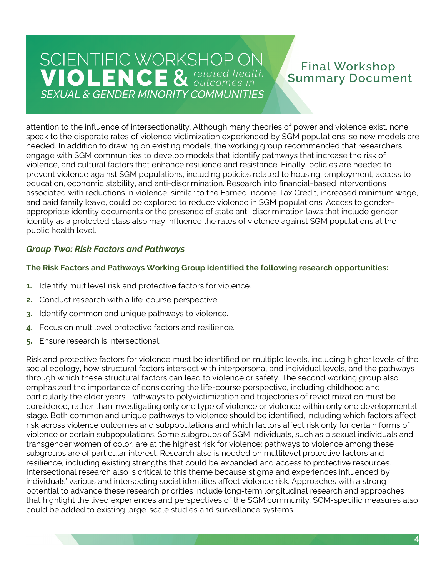### **Final Workshop Summary Document**

 attention to the influence of intersectionality. Although many theories of power and violence exist, none speak to the disparate rates of violence victimization experienced by SGM populations, so new models are needed. In addition to drawing on existing models, the working group recommended that researchers engage with SGM communities to develop models that identify pathways that increase the risk of violence, and cultural factors that enhance resilience and resistance. Finally, policies are needed to prevent violence against SGM populations, including policies related to housing, employment, access to education, economic stability, and anti-discrimination. Research into financial-based interventions associated with reductions in violence, similar to the Earned Income Tax Credit, increased minimum wage, and paid family leave, could be explored to reduce violence in SGM populations. Access to gender- appropriate identity documents or the presence of state anti-discrimination laws that include gender identity as a protected class also may influence the rates of violence against SGM populations at the public health level.

### *Group Two: Risk Factors and Pathways*

#### **The Risk Factors and Pathways Working Group identified the following research opportunities:**

- **1.** Identify multilevel risk and protective factors for violence.
- **2.** Conduct research with a life-course perspective.
- **3.** Identify common and unique pathways to violence.
- **4.** Focus on multilevel protective factors and resilience.
- **5.** Ensure research is intersectional.

 Risk and protective factors for violence must be identified on multiple levels, including higher levels of the social ecology, how structural factors intersect with interpersonal and individual levels, and the pathways through which these structural factors can lead to violence or safety. The second working group also emphasized the importance of considering the life-course perspective, including childhood and particularly the elder years. Pathways to polyvictimization and trajectories of revictimization must be considered, rather than investigating only one type of violence or violence within only one developmental stage. Both common and unique pathways to violence should be identified, including which factors affect risk across violence outcomes and subpopulations and which factors affect risk only for certain forms of violence or certain subpopulations. Some subgroups of SGM individuals, such as bisexual individuals and transgender women of color, are at the highest risk for violence; pathways to violence among these subgroups are of particular interest. Research also is needed on multilevel protective factors and resilience, including existing strengths that could be expanded and access to protective resources. Intersectional research also is critical to this theme because stigma and experiences influenced by individuals' various and intersecting social identities affect violence risk. Approaches with a strong potential to advance these research priorities include long-term longitudinal research and approaches that highlight the lived experiences and perspectives of the SGM community. SGM-specific measures also could be added to existing large-scale studies and surveillance systems.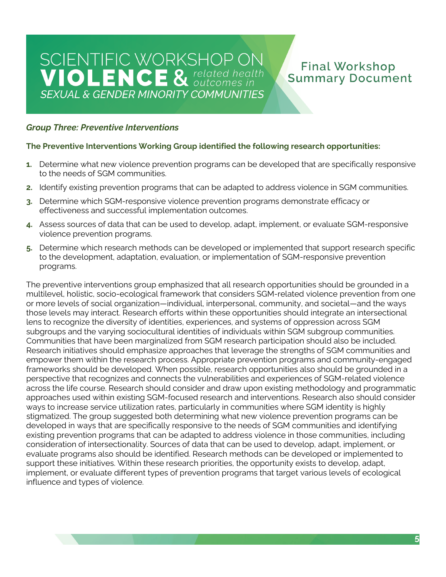# SCIENTIFIC WORKSHOP ON **VIOLENCE** & *CREA COMPONER (POLICE A COMPONER In* **SEXUAL & GENDER MINORITY COMMUNITIES**

## **Final Workshop Summary Document**

#### *Group Three: Preventive Interventions*

#### **The Preventive Interventions Working Group identified the following research opportunities:**

- **1.** Determine what new violence prevention programs can be developed that are specifically responsive to the needs of SGM communities.
- **2.** Identify existing prevention programs that can be adapted to address violence in SGM communities.
- **3.** Determine which SGM-responsive violence prevention programs demonstrate efficacy or effectiveness and successful implementation outcomes.
- **4.** Assess sources of data that can be used to develop, adapt, implement, or evaluate SGM-responsive violence prevention programs.
- **5.** Determine which research methods can be developed or implemented that support research specific to the development, adaptation, evaluation, or implementation of SGM-responsive prevention programs.

 The preventive interventions group emphasized that all research opportunities should be grounded in a multilevel, holistic, socio-ecological framework that considers SGM-related violence prevention from one or more levels of social organization—individual, interpersonal, community, and societal—and the ways those levels may interact. Research efforts within these opportunities should integrate an intersectional lens to recognize the diversity of identities, experiences, and systems of oppression across SGM subgroups and the varying sociocultural identities of individuals within SGM subgroup communities. Communities that have been marginalized from SGM research participation should also be included. Research initiatives should emphasize approaches that leverage the strengths of SGM communities and empower them within the research process. Appropriate prevention programs and community-engaged frameworks should be developed. When possible, research opportunities also should be grounded in a perspective that recognizes and connects the vulnerabilities and experiences of SGM-related violence across the life course. Research should consider and draw upon existing methodology and programmatic approaches used within existing SGM-focused research and interventions. Research also should consider ways to increase service utilization rates, particularly in communities where SGM identity is highly stigmatized. The group suggested both determining what new violence prevention programs can be developed in ways that are specifically responsive to the needs of SGM communities and identifying existing prevention programs that can be adapted to address violence in those communities, including consideration of intersectionality. Sources of data that can be used to develop, adapt, implement, or evaluate programs also should be identified. Research methods can be developed or implemented to support these initiatives. Within these research priorities, the opportunity exists to develop, adapt, implement, or evaluate different types of prevention programs that target various levels of ecological influence and types of violence.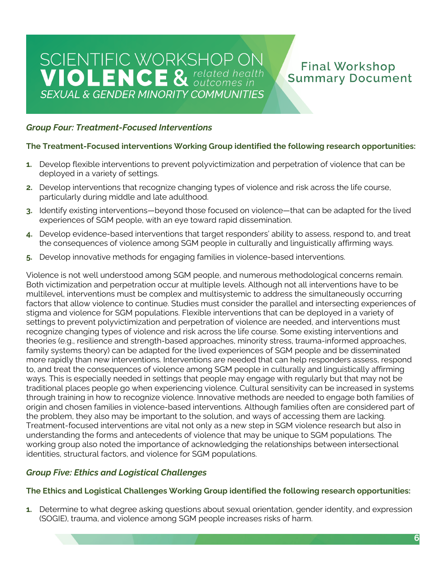## **Final Workshop Summary Document**

#### *Group Four: Treatment-Focused Interventions*

#### **The Treatment-Focused interventions Working Group identified the following research opportunities:**

- **1.** Develop flexible interventions to prevent polyvictimization and perpetration of violence that can be deployed in a variety of settings.
- **2.** Develop interventions that recognize changing types of violence and risk across the life course, particularly during middle and late adulthood.
- **3.** Identify existing interventions—beyond those focused on violence—that can be adapted for the lived experiences of SGM people, with an eye toward rapid dissemination.
- **4.** Develop evidence-based interventions that target responders' ability to assess, respond to, and treat the consequences of violence among SGM people in culturally and linguistically affirming ways.
- **5.** Develop innovative methods for engaging families in violence-based interventions.

 Violence is not well understood among SGM people, and numerous methodological concerns remain. Both victimization and perpetration occur at multiple levels. Although not all interventions have to be multilevel, interventions must be complex and multisystemic to address the simultaneously occurring factors that allow violence to continue. Studies must consider the parallel and intersecting experiences of stigma and violence for SGM populations. Flexible interventions that can be deployed in a variety of settings to prevent polyvictimization and perpetration of violence are needed, and interventions must recognize changing types of violence and risk across the life course. Some existing interventions and theories (e.g., resilience and strength-based approaches, minority stress, trauma-informed approaches, family systems theory) can be adapted for the lived experiences of SGM people and be disseminated more rapidly than new interventions. Interventions are needed that can help responders assess, respond to, and treat the consequences of violence among SGM people in culturally and linguistically affirming ways. This is especially needed in settings that people may engage with regularly but that may not be traditional places people go when experiencing violence. Cultural sensitivity can be increased in systems through training in how to recognize violence. Innovative methods are needed to engage both families of origin and chosen families in violence-based interventions. Although families often are considered part of the problem, they also may be important to the solution, and ways of accessing them are lacking. Treatment-focused interventions are vital not only as a new step in SGM violence research but also in understanding the forms and antecedents of violence that may be unique to SGM populations. The working group also noted the importance of acknowledging the relationships between intersectional identities, structural factors, and violence for SGM populations.

#### *Group Five: Ethics and Logistical Challenges*

#### **The Ethics and Logistical Challenges Working Group identified the following research opportunities:**

 **1.** Determine to what degree asking questions about sexual orientation, gender identity, and expression (SOGIE), trauma, and violence among SGM people increases risks of harm.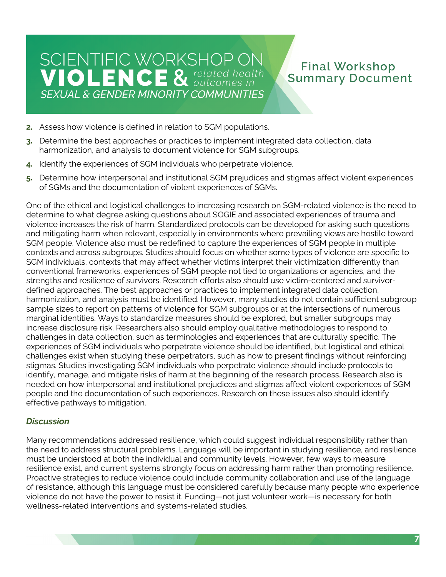### **Final Workshop Summary Document**

- **2.** Assess how violence is defined in relation to SGM populations.
- **3.** Determine the best approaches or practices to implement integrated data collection, data harmonization, and analysis to document violence for SGM subgroups.
- **4.** Identify the experiences of SGM individuals who perpetrate violence.
- **5.** Determine how interpersonal and institutional SGM prejudices and stigmas affect violent experiences of SGMs and the documentation of violent experiences of SGMs.

 One of the ethical and logistical challenges to increasing research on SGM-related violence is the need to determine to what degree asking questions about SOGIE and associated experiences of trauma and violence increases the risk of harm. Standardized protocols can be developed for asking such questions and mitigating harm when relevant, especially in environments where prevailing views are hostile toward SGM people. Violence also must be redefined to capture the experiences of SGM people in multiple contexts and across subgroups. Studies should focus on whether some types of violence are specific to SGM individuals, contexts that may affect whether victims interpret their victimization differently than conventional frameworks, experiences of SGM people not tied to organizations or agencies, and the strengths and resilience of survivors. Research efforts also should use victim-centered and survivor- defined approaches. The best approaches or practices to implement integrated data collection, harmonization, and analysis must be identified. However, many studies do not contain sufficient subgroup sample sizes to report on patterns of violence for SGM subgroups or at the intersections of numerous marginal identities. Ways to standardize measures should be explored, but smaller subgroups may increase disclosure risk. Researchers also should employ qualitative methodologies to respond to challenges in data collection, such as terminologies and experiences that are culturally specific. The experiences of SGM individuals who perpetrate violence should be identified, but logistical and ethical challenges exist when studying these perpetrators, such as how to present findings without reinforcing stigmas. Studies investigating SGM individuals who perpetrate violence should include protocols to identify, manage, and mitigate risks of harm at the beginning of the research process. Research also is needed on how interpersonal and institutional prejudices and stigmas affect violent experiences of SGM people and the documentation of such experiences. Research on these issues also should identify effective pathways to mitigation.

### *Discussion*

 Many recommendations addressed resilience, which could suggest individual responsibility rather than the need to address structural problems. Language will be important in studying resilience, and resilience must be understood at both the individual and community levels. However, few ways to measure resilience exist, and current systems strongly focus on addressing harm rather than promoting resilience. Proactive strategies to reduce violence could include community collaboration and use of the language of resistance, although this language must be considered carefully because many people who experience violence do not have the power to resist it. Funding—not just volunteer work—is necessary for both wellness-related interventions and systems-related studies.